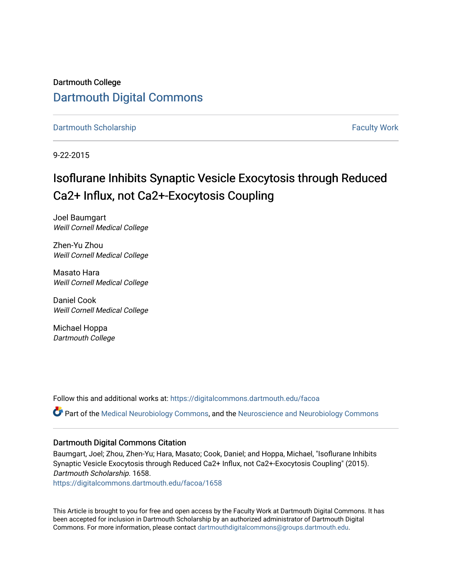Dartmouth College [Dartmouth Digital Commons](https://digitalcommons.dartmouth.edu/) 

[Dartmouth Scholarship](https://digitalcommons.dartmouth.edu/facoa) [Faculty Work](https://digitalcommons.dartmouth.edu/faculty) and The Basic Scholarship Faculty Work Faculty Work

9-22-2015

## Isoflurane Inhibits Synaptic Vesicle Exocytosis through Reduced Ca2+ Influx, not Ca2+-Exocytosis Coupling

Joel Baumgart Weill Cornell Medical College

Zhen-Yu Zhou Weill Cornell Medical College

Masato Hara Weill Cornell Medical College

Daniel Cook Weill Cornell Medical College

Michael Hoppa Dartmouth College

Follow this and additional works at: [https://digitalcommons.dartmouth.edu/facoa](https://digitalcommons.dartmouth.edu/facoa?utm_source=digitalcommons.dartmouth.edu%2Ffacoa%2F1658&utm_medium=PDF&utm_campaign=PDFCoverPages) Part of the [Medical Neurobiology Commons,](http://network.bepress.com/hgg/discipline/674?utm_source=digitalcommons.dartmouth.edu%2Ffacoa%2F1658&utm_medium=PDF&utm_campaign=PDFCoverPages) and the [Neuroscience and Neurobiology Commons](http://network.bepress.com/hgg/discipline/55?utm_source=digitalcommons.dartmouth.edu%2Ffacoa%2F1658&utm_medium=PDF&utm_campaign=PDFCoverPages)

### Dartmouth Digital Commons Citation

Baumgart, Joel; Zhou, Zhen-Yu; Hara, Masato; Cook, Daniel; and Hoppa, Michael, "Isoflurane Inhibits Synaptic Vesicle Exocytosis through Reduced Ca2+ Influx, not Ca2+-Exocytosis Coupling" (2015). Dartmouth Scholarship. 1658.

[https://digitalcommons.dartmouth.edu/facoa/1658](https://digitalcommons.dartmouth.edu/facoa/1658?utm_source=digitalcommons.dartmouth.edu%2Ffacoa%2F1658&utm_medium=PDF&utm_campaign=PDFCoverPages) 

This Article is brought to you for free and open access by the Faculty Work at Dartmouth Digital Commons. It has been accepted for inclusion in Dartmouth Scholarship by an authorized administrator of Dartmouth Digital Commons. For more information, please contact [dartmouthdigitalcommons@groups.dartmouth.edu](mailto:dartmouthdigitalcommons@groups.dartmouth.edu).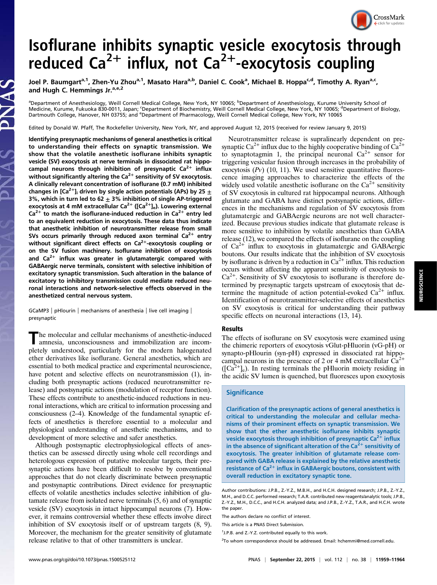

# Isoflurane inhibits synaptic vesicle exocytosis through reduced Ca<sup>2+</sup> influx, not Ca<sup>2+</sup>-exocytosis coupling

Joel P. Baumgart<sup>a, 1</sup>, Zhen-Yu Zhou<sup>a, 1</sup>, Masato Hara<sup>a, b</sup>, Daniel C. Cook<sup>a</sup>, Michael B. Hoppa<sup>c,d</sup>, Timothy A. Ryan<sup>a, c</sup>, and Hugh C. Hemmings Jr.<sup>a,e,2</sup>

<sup>a</sup>Department of Anesthesiology, Weill Cornell Medical College, New York, NY 10065; <sup>b</sup>Department of Anesthesiology, Kurume University School of Medicine, Kurume, Fukuoka 830-0011, Japan; <sup>c</sup>Department of Biochemistry, Weill Cornell Medical College, New York, NY 10065; <sup>d</sup>Department of Biology,<br>Dartmouth College, Hanover, NH 03755; and <sup>e</sup>Department of Pharmacology

Edited by Donald W. Pfaff, The Rockefeller University, New York, NY, and approved August 12, 2015 (received for review January 9, 2015)

Identifying presynaptic mechanisms of general anesthetics is critical to understanding their effects on synaptic transmission. We show that the volatile anesthetic isoflurane inhibits synaptic vesicle (SV) exocytosis at nerve terminals in dissociated rat hippocampal neurons through inhibition of presynaptic  $Ca^{2+}$  influx without significantly altering the  $Ca^{2+}$  sensitivity of SV exocytosis. A clinically relevant concentration of isoflurane (0.7 mM) inhibited changes in [Ca<sup>2+</sup>]<sub>i</sub> driven by single action potentials (APs) by 25  $\pm$ 3%, which in turn led to 62  $\pm$  3% inhibition of single AP-triggered exocytosis at 4 mM extracellular  $Ca^{2+}$  ([Ca<sup>2+</sup>]<sub>e</sub>). Lowering external  $Ca<sup>2+</sup>$  to match the isoflurane-induced reduction in  $Ca<sup>2+</sup>$  entry led to an equivalent reduction in exocytosis. These data thus indicate that anesthetic inhibition of neurotransmitter release from small SVs occurs primarily through reduced axon terminal  $Ca^{2+}$  entry without significant direct effects on  $Ca<sup>2+</sup>$ -exocytosis coupling or on the SV fusion machinery. Isoflurane inhibition of exocytosis and  $Ca^{2+}$  influx was greater in glutamatergic compared with GABAergic nerve terminals, consistent with selective inhibition of excitatory synaptic transmission. Such alteration in the balance of excitatory to inhibitory transmission could mediate reduced neuronal interactions and network-selective effects observed in the anesthetized central nervous system.

GCaMP3 | pHlourin | mechanisms of anesthesia | live cell imaging | presynaptic

The molecular and cellular mechanisms of anesthetic-induced amnesia, unconsciousness and immobilization are incompletely understood, particularly for the modern halogenated ether derivatives like isoflurane. General anesthetics, which are essential to both medical practice and experimental neuroscience, have potent and selective effects on neurotransmission (1), including both presynaptic actions (reduced neurotransmitter release) and postsynaptic actions (modulation of receptor function). These effects contribute to anesthetic-induced reductions in neuronal interactions, which are critical to information processing and consciousness (2–4). Knowledge of the fundamental synaptic effects of anesthetics is therefore essential to a molecular and physiological understanding of anesthetic mechanisms, and to development of more selective and safer anesthetics.

Although postsynaptic electrophysiological effects of anesthetics can be assessed directly using whole cell recordings and heterologous expression of putative molecular targets, their presynaptic actions have been difficult to resolve by conventional approaches that do not clearly discriminate between presynaptic and postsynaptic contributions. Direct evidence for presynaptic effects of volatile anesthetics includes selective inhibition of glutamate release from isolated nerve terminals (5, 6) and of synaptic vesicle (SV) exocytosis in intact hippocampal neurons (7). However, it remains controversial whether these effects involve direct inhibition of SV exocytosis itself or of upstream targets (8, 9). Moreover, the mechanism for the greater sensitivity of glutamate release relative to that of other transmitters is unclear.

Neurotransmitter release is supralinearly dependent on presynaptic Ca<sup>2+</sup> influx due to the highly cooperative binding of  $\bar{C}a^{2+}$ to synaptotagmin 1, the principal neuronal  $Ca^{2+}$  sensor for triggering vesicular fusion through increases in the probability of exocytosis  $(Pv)$  (10, 11). We used sensitive quantitative fluorescence imaging approaches to characterize the effects of the widely used volatile anesthetic isoflurane on the  $Ca^{2+}$  sensitivity of SV exocytosis in cultured rat hippocampal neurons. Although glutamate and GABA have distinct postsynaptic actions, differences in the mechanisms and regulation of SV exocytosis from glutamatergic and GABAergic neurons are not well characterized. Because previous studies indicate that glutamate release is more sensitive to inhibition by volatile anesthetics than GABA release (12), we compared the effects of isoflurane on the coupling of  $Ca^{2+}$  influx to exocytosis in glutamatergic and GABAergic boutons. Our results indicate that the inhibition of SV exocytosis by isoflurane is driven by a reduction in  $Ca^{2+}$  influx. This reduction occurs without affecting the apparent sensitivity of exocytosis to  $Ca<sup>2+</sup>$ . Sensitivity of SV exocytosis to isoflurane is therefore determined by presynaptic targets upstream of exocytosis that determine the magnitude of action potential-evoked  $Ca^{2+}$  influx. Identification of neurotransmitter-selective effects of anesthetics on SV exocytosis is critical for understanding their pathway specific effects on neuronal interactions  $(13, 14)$ .

#### Results

The effects of isoflurane on SV exocytosis were examined using the chimeric reporters of exocytosis vGlut-pHluorin (vG-pH) or synapto-pHlourin (syn-pH) expressed in dissociated rat hippocampal neurons in the presence of 2 or 4 mM extracellular  $\widehat{Ca}^{2+}$  $([Ca<sup>2+</sup>]e)$ . In resting terminals the pHluorin moiety residing in the acidic SV lumen is quenched, but fluoresces upon exocytosis

#### **Significance**

Clarification of the presynaptic actions of general anesthetics is critical to understanding the molecular and cellular mechanisms of their prominent effects on synaptic transmission. We show that the ether anesthetic isoflurane inhibits synaptic vesicle exocytosis through inhibition of presynaptic  $Ca<sup>2+</sup>$  influx in the absence of significant alteration of the  $Ca<sup>2+</sup>$  sensitivity of exocytosis. The greater inhibition of glutamate release compared with GABA release is explained by the relative anesthetic resistance of  $Ca^{2+}$  influx in GABAergic boutons, consistent with overall reduction in excitatory synaptic tone.

Author contributions: J.P.B., Z.-Y.Z., M.B.H., and H.C.H. designed research; J.P.B., Z.-Y.Z., M.H., and D.C.C. performed research; T.A.R. contributed new reagents/analytic tools; J.P.B., Z.-Y.Z., M.H., D.C.C., and H.C.H. analyzed data; and J.P.B., Z.-Y.Z., T.A.R., and H.C.H. wrote the paper.

The authors declare no conflict of interest.

This article is a PNAS Direct Submission.

<sup>&</sup>lt;sup>1</sup> J.P.B. and Z.-Y.Z. contributed equally to this work.

<sup>&</sup>lt;sup>2</sup>To whom correspondence should be addressed. Email: [hchemmi@med.cornell.edu.](mailto:hchemmi@med.cornell.edu)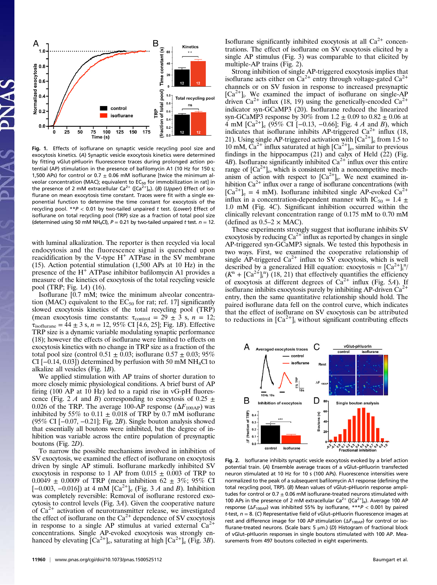

Fig. 1. Effects of isoflurane on synaptic vesicle recycling pool size and exocytosis kinetics. (A) Synaptic vesicle exocytosis kinetics were determined by fitting vGlut-pHluorin fluorescence traces during prolonged action potential (AP) stimulation in the presence of bafilomycin A1 (10 Hz for 150 s; 1,500 APs) for control or 0.7  $\pm$  0.06 mM isoflurane [twice the minimum alveolar concentration (MAC); equivalent to  $EC_{50}$  for immobilization in rat] in the presence of 2 mM extracellular  $Ca^{2+}$  ([Ca<sup>2+</sup>]<sub>e</sub>). (B) (Upper) Effect of isoflurane on mean exocytosis time constant. Traces were fit with a single exponential function to determine the time constant for exocytosis of the recycling pool.  $**P < 0.01$  by two-tailed unpaired t test. (Lower) Effect of isoflurane on total recycling pool (TRP) size as a fraction of total pool size (determined using 50 mM NH<sub>4</sub>Cl),  $P = 0.21$  by two-tailed unpaired t test.  $n = 12$ .

with luminal alkalization. The reporter is then recycled via local endocytosis and the fluorescence signal is quenched upon reacidification by the V-type  $H^+$  ATPase in the SV membrane (15). Action potential stimulation (1,500 APs at 10 Hz) in the presence of the  $H^+$  ATPase inhibitor bafilomycin A1 provides a measure of the kinetics of exocytosis of the total recycling vesicle pool (TRP; Fig. 1A) (16).

Isoflurane [0.7 mM; twice the minimum alveolar concentration (MAC) equivalent to the  $EC_{50}$  for rat; ref. 17] significantly slowed exocytosis kinetics of the total recycling pool (TRP) (mean exocytosis time constants:  $\tau_{control} = 29 \pm 3$  s,  $n = 12$ ;  $\tau_{\text{isoflurane}} = 44 \pm 3 \text{ s}, n = 12,95\% \text{ CI}$  [4.6, 25]; Fig. 1*B*). Effective TRP size is a dynamic variable modulating synaptic performance (18); however the effects of isoflurane were limited to effects on exocytosis kinetics with no change in TRP size as a fraction of the total pool size (control  $0.51 \pm 0.03$ ; isoflurane  $0.57 \pm 0.03$ ; 95% CI [ $-0.14$ , 0.03]) determined by perfusion with 50 mM NH<sub>4</sub>Cl to alkalize all vesicles (Fig. 1B).

We applied stimulation with AP trains of shorter duration to more closely mimic physiological conditions. A brief burst of AP firing (100 AP at 10 Hz) led to a rapid rise in vG-pH fluorescence (Fig. 2 A and B) corresponding to exocytosis of 0.25  $\pm$ 0.026 of the TRP. The average 100-AP response  $(\Delta F_{100\text{AP}})$  was inhibited by 55% to  $0.11 \pm 0.018$  of TRP by 0.7 mM isoflurane (95% CI [−0.07, −0.21]; Fig. 2B). Single bouton analysis showed that essentially all boutons were inhibited, but the degree of inhibition was variable across the entire population of presynaptic boutons (Fig. 2D).

To narrow the possible mechanisms involved in inhibition of SV exocytosis, we examined the effect of isoflurane on exocytosis driven by single AP stimuli. Isoflurane markedly inhibited SV exocytosis in response to 1 AP from  $0.015 \pm 0.003$  of TRP to 0.0049  $\pm$  0.0009 of TRP (mean inhibition 62  $\pm$  3%; 95% CI  $[-0.003, -0.016]$  at 4 mM  $[Ca^{2+}]_e$  (Fig. 3 A and B). Inhibition was completely reversible: Removal of isoflurane restored exocytosis to control levels (Fig. 3A). Given the cooperative nature of  $Ca^{2+}$  activation of neurotransmitter release, we investigated the effect of isoflurane on the  $Ca<sup>2+</sup>$  dependence of SV exocytosis in response to a single AP stimulus at varied external  $Ca^{2+}$ concentrations. Single AP-evoked exocytosis was strongly enhanced by elevating  $[Ca^{2+}]_e$ , saturating at high  $[Ca^{2+}]_e$  (Fig. 3B). Isoflurane significantly inhibited exocytosis at all  $Ca<sup>2+</sup>$  concentrations. The effect of isoflurane on SV exocytosis elicited by a single AP stimulus (Fig. 3) was comparable to that elicited by multiple-AP trains (Fig. 2).

Strong inhibition of single AP-triggered exocytosis implies that isoflurane acts either on  $Ca^{2+}$  entry through voltage-gated  $Ca^{2+}$ channels or on SV fusion in response to increased presynaptic  $[Ca^{2+}]$ . We examined the impact of isoflurane on single-AP driven  $Ca^{2+}$  influx (18, 19) using the genetically-encoded  $Ca^{2+}$ indicator syn-GCaMP3 (20). Isoflurane reduced the linearized syn-GCaMP3 response by 30% from  $1.2 \pm 0.09$  to  $0.82 \pm 0.06$  at 4 mM  $\left[\text{Ca}^{2+}\right]_{e}$  (95% CI  $\left[-0.13, -0.66\right]$ ; Fig. 4 A and B), which indicates that isoflurane inhibits AP-triggered  $Ca^{2+}$  influx (18, 21). Using single AP-triggered activation with  $[Ca^{2+}]_e$  from 1.5 to  $10 \text{ mM}$ ,  $\text{Ca}^{2+}$  influx saturated at high  $\text{[Ca}^{2+}\text{]}_{\text{e}}$ , similar to previous findings in the hippocampus (21) and calyx of Held (22) (Fig. 4B). Isoflurane significantly inhibited  $Ca^{2+}$  influx over this entire range of  $[Ca^{2+}]_e$ , which is consistent with a noncompetitive mechanism of action with respect to  $[Ca^{2+}]_e$ . We next examined inhibition  $Ca^{2+}$  influx over a range of isoflurane concentrations (with  $[Ca^{2+}]_e = 4$  mM). Isoflurane inhibited single AP-evoked  $Ca^{2+}$ influx in a concentration-dependent manner with IC<sub>50</sub> = 1.4  $\pm$ 1.0 mM (Fig. 4C). Significant inhibition occurred within the clinically relevant concentration range of 0.175 mM to 0.70 mM (defined as  $0.5-2 \times \text{MAC}$ ).

These experiments strongly suggest that isoflurane inhibits SV exocytosis by reducing  $Ca^{2+}$  influx as reported by changes in single AP-triggered syn-GCaMP3 signals. We tested this hypothesis in two ways. First, we examined the cooperative relationship of single AP-triggered  $Ca^{2+}$  influx to SV exocytosis, which is well described by a generalized Hill equation: exocytosis =  $[Ca^{2+}]_i^n$  $(K^{n} + [Ca^{2+}]_{1}^{n})$  (18, 21) that effectively quantifies the efficiency of exocytosis at different degrees of  $Ca^{2+}$  influx (Fig. 5A). If isoflurane inhibits exocytosis purely by inhibiting AP-driven  $Ca^{2+}$ entry, then the same quantitative relationship should hold. The paired isoflurane data fell on the control curve, which indicates that the effect of isoflurane on SV exocytosis can be attributed to reductions in  $[Ca^{2+}]$ <sub>i</sub> without significant contributing effects



Fig. 2. Isoflurane inhibits synaptic vesicle exocytosis evoked by a brief action potential train. (A) Ensemble average traces of a vGlut–pHluorin transfected neuron stimulated at 10 Hz for 10 s (100 APs). Fluorescence intensities were normalized to the peak of a subsequent bafilomycin A1 response (defining the total recycling pool, TRP). (B) Mean values of vGlut–pHluorin response amplitudes for control or  $0.7 \pm 0.06$  mM isoflurane-treated neurons stimulated with 100 APs in the presence of 2 mM extracellular  $Ca^{2+}$  ([Ca<sup>2+</sup>]<sub>e</sub>). Average 100 AP response ( $\Delta F_{100\text{AP}}$ ) was inhibited 55% by isoflurane, \*\*\*P < 0.001 by paired t-test,  $n = 8$ . (C) Representative field of vGlut-pHluorin fluorescence images at rest and difference image for 100 AP stimulation  $(\Delta F_{100\text{AP}})$  for control or isoflurane-treated neurons. (Scale bars: 5  $\mu$ m.) (D) Histogram of fractional block of vGlut–pHluorin responses in single boutons stimulated with 100 AP. Measurements from 497 boutons collected in eight experiments.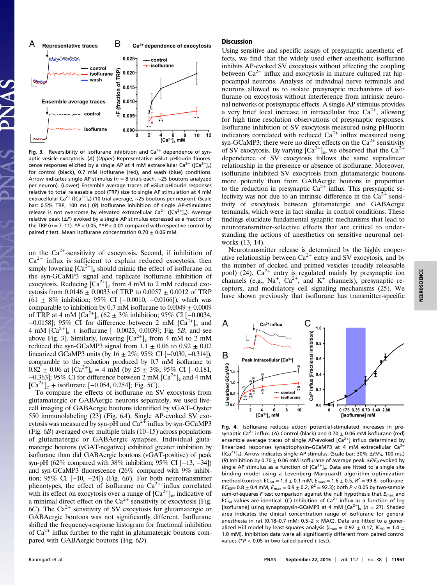

Fig. 3. Reversibility of isoflurane inhibition and  $Ca^{2+}$  dependence of synaptic vesicle exocytosis. (A) (Upper) Representative vGlut–pHlourin fluorescence responses elicited by a single AP at 4 mM extracellular  $Ca^{2+}$  ([Ca<sup>2+</sup>]<sub>e</sub>) for control (black), 0.7 mM isoflurane (red), and wash (blue) conditions. Arrow indicates single AP stimulus (n = 8 trials each, ∼25 boutons analyzed per neuron). (Lower) Ensemble average traces of vGlut-pHlourin responses relative to total releasable pool (TRP) size to single AP stimulation at 4 mM extracellular Ca<sup>2+</sup> ([Ca<sup>2+</sup>]<sub>e</sub>) (10 trial average, ~25 boutons per neuron). (Scale bar: 0.5% TRP, 100 ms.) (B) Isoflurane inhibition of single AP-stimulated release is not overcome by elevated extracellular  $Ca^{2+}$  ([Ca<sup>2+</sup>]<sub>e</sub>). Average relative peak  $(\Delta F)$  evoked by a single AP stimulus expressed as a fraction of the TRP ( $n = 7-11$ ). \* $P < 0.05$ , \*\* $P < 0.01$  compared with respective control by paired t test. Mean isoflurane concentration  $0.70 \pm 0.06$  mM.

on the  $Ca^{2+}$ -sensitivity of exocytosis. Second, if inhibition of  $Ca<sup>2+</sup>$  influx is sufficient to explain reduced exocytosis, then simply lowering  $[Ca^{2+}]_e$  should mimic the effect of isoflurane on the syn-GCaMP3 signal and replicate isoflurane inhibition of exocytosis. Reducing  $[Ca^{2+}]_e$  from 4 mM to 2 mM reduced exocytosis from 0.0146  $\pm$  0.0033 of TRP to 0.0057  $\pm$  0.0012 of TRP  $(61 \pm 8\%$  inhibition; 95% CI [-0.0010, -0.0166]), which was comparable to inhibition by 0.7 mM isoflurane to  $0.0049 \pm 0.0009$ of TRP at 4 mM  $\left[Ca^{2+}\right]_{e}$  (62 ± 3% inhibition; 95% CI [-0.0034,  $-0.0158$ ]; 95% CI for difference between 2 mM  $[Ca^{2+}]_e$  and 4 mM  $[Ca^{2+}]_e$  + isoflurane  $[-0.0023, 0.0039]$ ; Fig. 5B, and see above Fig. 3). Similarly, lowering  $[Ca^{2+}]_e$  from 4 mM to 2 mM reduced the syn-GCaMP3 signal from  $1.1 \pm 0.06$  to  $0.92 \pm 0.02$ linearized GCaMP3 units (by  $16 \pm 2\%$ ; 95% CI [−0.030, −0.314]), comparable to the reduction produced by 0.7 mM isoflurane to  $0.82 \pm 0.06$  at  $\text{[Ca}^{2+}\text{]}_e = 4 \text{ mM}$  (by  $25 \pm 3\%$ ; 95% CI [-0.181,  $-0.363$ ]; 95% CI for difference between 2 mM  $[Ca^{2+}]_e$  and 4 mM  $[Ca^{2+}]_e$  + isoflurane  $[-0.054, 0.254]$ ; Fig. 5C).

To compare the effects of isoflurane on SV exocytosis from glutamatergic or GABAergic neurons separately, we used livecell imaging of GABAergic boutons identified by vGAT–Oyster 550 immunolabeling (23) (Fig. 6A). Single AP-evoked SV exocytosis was measured by syn-pH and  $Ca^{2+}$  influx by syn-GCaMP3 (Fig. 6B) averaged over multiple trials (10–15) across populations of glutamatergic or GABAergic synapses. Individual glutamatergic boutons (vGAT-negative) exhibited greater inhibition by isoflurane than did GABAergic boutons (vGAT-positive) of peak syn-pH (62% compared with 38% inhibition; 95% CI [−13, −34]) and syn-GCaMP3 fluorescence (26% compared with 9% inhibition; 95% CI [−10, −24]) (Fig. 6B). For both neurotransmitter phenotypes, the effect of isoflurane on  $Ca^{2+}$  influx correlated with its effect on exocytosis over a range of  $[Ca^{2+}]_e$ , indicative of a minimal direct effect on the  $Ca^{2+}$  sensitivity of exocytosis (Fig. 6C). The  $Ca^{2+}$  sensitivity of SV exocytosis for glutamatergic or GABAergic boutons was not significantly different. Isoflurane shifted the frequency-response histogram for fractional inhibition of  $Ca<sup>2+</sup>$  influx further to the right in glutamatergic boutons compared with GABAergic boutons (Fig. 6D).

#### Discussion

Using sensitive and specific assays of presynaptic anesthetic effects, we find that the widely used ether anesthetic isoflurane inhibits AP-evoked SV exocytosis without affecting the coupling between  $Ca^{2+}$  influx and exocytosis in mature cultured rat hippocampal neurons. Analysis of individual nerve terminals and neurons allowed us to isolate presynaptic mechanisms of isoflurane on exocytosis without interference from intrinsic neuronal networks or postsynaptic effects. A single AP stimulus provides a very brief local increase in intracellular free  $Ca^{2+}$ , allowing for high time resolution observations of presynaptic responses. Isoflurane inhibition of SV exocytosis measured using pHluorin indicators correlated with reduced  $Ca^{2+}$  influx measured using syn-GCaMP3; there were no direct effects on the  $Ca<sup>2+</sup>$  sensitivity of SV exocytosis. By varying  $[Ca^{2+}]_e$ , we observed that the  $Ca^{2+}$ dependence of SV exocytosis follows the same supralinear relationship in the presence or absence of isoflurane. Moreover, isoflurane inhibited SV exocytosis from glutamatergic boutons more potently than from GABAergic boutons in proportion to the reduction in presynaptic  $Ca^{2+}$  influx. This presynaptic selectivity was not due to an intrinsic difference in the  $Ca^{2+}$  sensitivity of exocytosis between glutamatergic and GABAergic terminals, which were in fact similar in control conditions. These findings elucidate fundamental synaptic mechanisms that lead to neurotransmitter-selective effects that are critical to understanding the actions of anesthetics on sensitive neuronal networks (13, 14).

Neurotransmitter release is determined by the highly cooperative relationship between  $Ca^{2+}$  entry and SV exocytosis, and by the number of docked and primed vesicles (readily releasable pool) (24).  $Ca^{2+}$  entry is regulated mainly by presynaptic ion channels (e.g.,  $Na^{+}$ ,  $Ca^{2+}$ , and  $K^{+}$  channels), presynaptic receptors, and modulatory cell signaling mechanisms (25). We have shown previously that isoflurane has transmitter-specific



Fig. 4. Isoflurane reduces action potential-stimulated increases in presynaptic Ca<sup>2+</sup> influx. (A) Control (black) and  $0.70 \pm 0.06$  mM isoflurane (red) ensemble average traces of single AP-evoked  $[Ca<sup>2+</sup>]$  influx determined by linearized responses synaptophysin–GCaMP3 at 4 mM extracellular  $Ca^{2+}$ ( $[Ca^{2+}]_e$ ). Arrow indicates single AP stimulus. (Scale bar: 30%  $\Delta F/F_0$ , 100 ms.) (B) Inhibition by 0.70  $\pm$  0.06 mM isoflurane of average peak  $\Delta F/F_0$  evoked by single AP stimulus as a function of  $[Ca^{2+}]_e$ . Data are fitted to a single site binding model using a Levenberg–Marquardt algorithm optimization method (control:  $EC_{50} = 1.3 \pm 0.1$  mM,  $E_{\text{max}} = 1.6 \pm 0.5$ ,  $R^2 = 99.8$ ; isoflurane: EC<sub>50</sub>= 0.8  $\pm$  0.4 mM,  $E_{\text{max}}$  = 0.9  $\pm$  0.2,  $R^2$  = 92.3); both P < 0.05 by two-sample sum-of-squares F test comparison against the null hypothesis that  $E_{\text{max}}$  and EC<sub>50</sub> values are identical. (C) Inhibition of Ca<sup>2+</sup> influx as a function of log [isoflurane] using synaptopysin-GCaMP3 at 4 mM  $[Ca^{2+}]_e$  (n = 27). Shaded area indicates the clinical concentration range of isoflurane for general anesthesia in rat (0.18–0.7 mM; 0.5–2  $\times$  MAC). Data are fitted to a generalized Hill model by least-squares analysis ( $l_{\rm max}$  = 0.92  $\pm$  0.17; IC<sub>50</sub> = 1.4  $\pm$ 1.0 mM). Inhibition data were all significantly different from paired control values (\* $P < 0.05$  in two-tailed paired t test).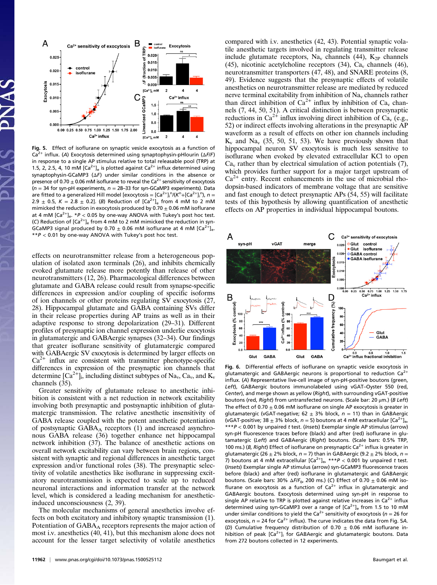

Fig. 5. Effect of isoflurane on synaptic vesicle exocytosis as a function of Ca<sup>2+</sup> influx. (A) Exocytosis determined using synaptophysin-pHlourin ( $\Delta$ F/F) in response to a single AP stimulus relative to total releasable pool (TRP) at 1.5, 2, 2.5, 4, 10 mM  $[Ca^{2+}]_6$  is plotted against  $Ca^{2+}$  influx determined using synaptophysin-GCaMP3 (ΔF) under similar conditions in the absence or presence of 0.70  $\pm$  0.06 mM isoflurane to reveal the Ca<sup>2+</sup> sensitivity of exocytosis ( $n = 34$  for syn-pH experiments,  $n = 28-33$  for syn-GCaMP3 experiments). Data are fitted to a generalized Hill model [exocytosis = [Ca<sup>2+</sup>]<sub>i</sub>"/(K<sup>n</sup>+[Ca<sup>2+</sup>]<sub>i</sub>"), n = 2.9  $\pm$  0.5, K = 2.8  $\pm$  0.2]. (B) Reduction of [Ca<sup>2+</sup>]<sub>e</sub> from 4 mM to 2 mM mimicked the reduction in exocytosis produced by 0.70  $\pm$  0.06 mM isoflurane at 4 mM  $[Ca^{2+}]_e$ . \*P < 0.05 by one-way ANOVA with Tukey's post hoc test. (C) Reduction of  $[Ca^{2+}]_e$  from 4 mM to 2 mM mimicked the reduction in syn-GCaMP3 signal produced by 0.70  $\pm$  0.06 mM isoflurane at 4 mM [Ca<sup>2+</sup>]<sub>e</sub>.  $*P < 0.01$  by one-way ANOVA with Tukey's post hoc test.

effects on neurotransmitter release from a heterogeneous population of isolated axon terminals (26), and inhibits chemically evoked glutamate release more potently than release of other neurotransmitters (12, 26). Pharmacological differences between glutamate and GABA release could result from synapse-specific differences in expression and/or coupling of specific isoforms of ion channels or other proteins regulating SV exocytosis (27, 28). Hippocampal glutamate and GABA containing SVs differ in their release properties during AP trains as well as in their adaptive response to strong depolarization (29–31). Different profiles of presynaptic ion channel expression underlie exocytosis in glutamatergic and GABAergic synapses (32–34). Our findings that greater isoflurane sensitivity of glutamatergic compared with GABAergic SV exocytosis is determined by larger effects on  $Ca<sup>2+</sup>$  influx are consistent with transmitter phenotype-specific differences in expression of the presynaptic ion channels that determine  $\lbrack Ca^{2+}\rbrack_i$ , including distinct subtypes of Na<sub>v</sub>, Ca<sub>v</sub>, and K<sub>v</sub> channels (35).

Greater sensitivity of glutamate release to anesthetic inhibition is consistent with a net reduction in network excitability involving both presynaptic and postsynaptic inhibition of glutamatergic transmission. The relative anesthetic insensitivity of GABA release coupled with the potent anesthetic potentiation of postsynaptic  $GABA_A$  receptors (1) and increased asynchronous GABA release (36) together enhance net hippocampal network inhibition (37). The balance of anesthetic actions on overall network excitability can vary between brain regions, consistent with synaptic and regional differences in anesthetic target expression and/or functional roles (38). The presynaptic selectivity of volatile anesthetics like isoflurane in suppressing excitatory neurotransmission is expected to scale up to reduced neuronal interactions and information transfer at the network level, which is considered a leading mechanism for anestheticinduced unconsciousness (2, 39).

The molecular mechanisms of general anesthetics involve effects on both excitatory and inhibitory synaptic transmission (1). Potentiation of  $GABA_A$  receptors represents the major action of most i.v. anesthetics (40, 41), but this mechanism alone does not account for the lesser target selectivity of volatile anesthetics compared with i.v. anesthetics (42, 43). Potential synaptic volatile anesthetic targets involved in regulating transmitter release include glutamate receptors,  $Na<sub>v</sub>$  channels (44),  $K<sub>2P</sub>$  channels (45), nicotinic acetylcholine receptors (34),  $Ca<sub>v</sub>$  channels (46), neurotransmitter transporters (47, 48), and SNARE proteins (8, 49). Evidence suggests that the presynaptic effects of volatile anesthetics on neurotransmitter release are mediated by reduced nerve terminal excitability from inhibition of  $Na<sub>v</sub>$  channels rather than direct inhibition of  $Ca^{2+}$  influx by inhibition of  $Ca<sub>v</sub>$  channels (7, 44, 50, 51). A critical distinction is between presynaptic reductions in  $Ca^{2+}$  influx involving direct inhibition of  $Ca_v$  (e.g., 52) or indirect effects involving alterations in the presynaptic AP waveform as a result of effects on other ion channels including  $K_v$  and  $Na_v$  (35, 50, 51, 53). We have previously shown that hippocampal neuron SV exocytosis is much less sensitive to isoflurane when evoked by elevated extracellular KCl to open  $Ca<sub>v</sub>$  rather than by electrical simulation of action potentials (7), which provides further support for a major target upstream of  $Ca<sup>2+</sup>$  entry. Recent enhancements in the use of microbial rhodopsin-based indicators of membrane voltage that are sensitive and fast enough to detect presynaptic APs (54, 55) will facilitate tests of this hypothesis by allowing quantification of anesthetic effects on AP properties in individual hippocampal boutons.



Fig. 6. Differential effects of isoflurane on synaptic vesicle exocytosis in glutamatergic and GABAergic neurons is proportional to reduction  $Ca<sup>2+</sup>$ influx. (A) Representative live-cell image of syn-pH-positive boutons (green, Left), GABAergic boutons immunolabeled using vGAT–Oyster 550 (red, Center), and merge shown as yellow (Right), with surrounding vGAT-positive boutons (red, Right) from untransfected neurons. (Scale bar: 20  $\mu$ m.) (B Left) The effect of 0.70  $\pm$  0.06 mM isoflurane on single AP exocytosis is greater in glutamatergic (vGAT-negative; 62  $\pm$  3% block, n = 11) than in GABAergic (vGAT-positive; 38  $\pm$  3% block, n = 5) boutons at 4 mM extracellular  $\left[Ca^{2+}\right]_{\infty}$ \*\*\*P < 0.001 by unpaired t test. (Insets) Exemplar single AP stimulus (arrow) syn-pH fluorescence traces before (black) and after (red) isoflurane in glutamatergic (Left) and GABAergic (Right) boutons. (Scale bars: 0.5% TRP, 100 ms.) (B, Right) Effect of isoflurane on presynaptic Ca<sup>2+</sup> influx is greater in glutamatergic (26  $\pm$  2% block, n = 7) than in GABAergic (9.2  $\pm$  2% block, n = 7) boutons at 4 mM extracellular  $[Ca^{2+}]_{e}$ , \*\*\* $P < 0.001$  by unpaired t test. (Insets) Exemplar single AP stimulus (arrow) syn-GCaMP3 fluorescence traces before (black) and after (red) isoflurane in glutamatergic and GABAergic boutons. (Scale bars: 30%  $\Delta F/F_0$ , 200 ms.) (C) Effect of 0.70  $\pm$  0.06 mM isoflurane on exocytosis as a function of  $Ca<sup>2+</sup>$  influx in glutamatergic and GABAergic boutons. Exocytosis determined using syn-pH in response to single AP relative to TRP is plotted against relative increases in  $Ca<sup>2+</sup>$  influx determined using syn-GCaMP3 over a range of  $[Ca<sup>2+</sup>]_{e}$  from 1.5 to 10 mM under similar conditions to yield the Ca<sup>2+</sup> sensitivity of exocytosis ( $n = 26$  for exocytosis,  $n = 24$  for Ca<sup>2+</sup> influx). The curve indicates the data from Fig. 5A. (D) Cumulative frequency distribution of 0.70  $\pm$  0.06 mM isoflurane inhibition of peak  $[Ca^{2+}]$  for GABAergic and glutamatergic boutons. Data from 272 boutons collected in 12 experiments.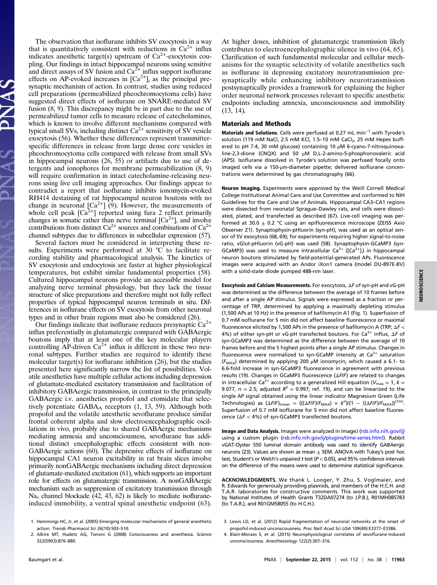The observation that isoflurane inhibits SV exocytosis in a way that is quantitatively consistent with reductions in  $Ca^{2+}$  influx indicates anesthetic target(s) upstream of  $Ca^{2+}$ -exocytosis coupling. Our findings in intact hippocampal neurons using sensitive and direct assays of SV fusion and  $Ca^{2+}$  influx support isoflurane effects on AP-evoked increases in  $[Ca^{2+}]$ <sub>i</sub> as the principal presynaptic mechanism of action. In contrast, studies using reduced cell preparations (permeabilized pheochromocytoma cells) have suggested direct effects of isoflurane on SNARE-mediated SV fusion (8, 9). This discrepancy might be in part due to the use of permeabilized tumor cells to measure release of catecholamines, which is known to involve different mechanisms compared with typical small SVs, including distinct  $Ca^{2+}$  sensitivity of SV vesicle exocytosis (56). Whether these differences represent transmitterspecific differences in release from large dense core vesicles in pheochromocytoma cells compared with release from small SVs in hippocampal neurons (26, 55) or artifacts due to use of detergents and ionophores for membrane permeabilization (8, 9) will require confirmation in intact catecholamine-releasing neurons using live cell imaging approaches. Our findings appear to contradict a report that isoflurane inhibits ionomycin-evoked RH414 destaining of rat hippocampal neuron boutons with no change in neuronal  $\left[\text{Ca}^{2+}\right]$  (9). However, the measurements of whole cell peak  $[Ca^{2+}]$  reported using fura 2 reflect primarily changes in somatic rather than nerve terminal  $[Ca<sup>2+</sup>]$ , and involve contributions from distinct  $Ca^{2+}$  sources and combinations of  $Ca^{2+}$ channel subtypes due to differences in subcellular expression (57).

Several factors must be considered in interpreting these results. Experiments were performed at 30  $^{\circ}C$  to facilitate recording stability and pharmacological analysis. The kinetics of SV exocytosis and endocytosis are faster at higher physiological temperatures, but exhibit similar fundamental properties (58). Cultured hippocampal neurons provide an accessible model for analyzing nerve terminal physiology, but they lack the tissue structure of slice preparations and therefore might not fully reflect properties of typical hippocampal neuron terminals in situ. Differences in isoflurane effects on SV exocytosis from other neuronal types and in other brain regions must also be considered (26).

Our findings indicate that isoflurane reduces presynaptic  $Ca^{2+}$ influx preferentially in glutamatergic compared with GABAergic boutons imply that at least one of the key molecular players controlling  $AP$ -driven  $Ca^{2+}$  influx is different in these two neuronal subtypes. Further studies are required to identify these molecular target(s) for isoflurane inhibition (26), but the studies presented here significantly narrow the list of possibilities. Volatile anesthetics have multiple cellular actions including depression of glutamate-mediated excitatory transmission and facilitation of inhibitory GABAergic transmission, in contrast to the principally GABAergic i.v. anesthetics propofol and etomidate that selectively potentiate  $GABA_A$  receptors  $(1, 13, 59)$ . Although both propofol and the volatile anesthetic sevoflurane produce similar frontal coherent alpha and slow electroencephalographic oscillations in vivo, probably due to shared GABAergic mechanisms mediating amnesia and unconsciousness, sevoflurane has additional distinct encephalographic effects consistent with non-GABAergic actions (60). The depressive effects of isoflurane on hippocampal CA1 neuron excitability in rat brain slices involve primarily nonGABAergic mechanisms including direct depression of glutamate-mediated excitation (61), which supports an important role for effects on glutamatergic transmission. A nonGABAergic mechanism such as suppression of excitatory transmission through  $Na<sub>v</sub>$  channel blockade (42, 43, 62) is likely to mediate isofluraneinduced immobility, a ventral spinal anesthetic endpoint (63). At higher doses, inhibition of glutamatergic transmission likely contributes to electroencephalographic silence in vivo (64, 65). Clarification of such fundamental molecular and cellular mechanisms for the synaptic selectivity of volatile anesthetics such as isoflurane in depressing excitatory neurotransmission presynaptically while enhancing inhibitory neurotransmission postsynaptically provides a framework for explaining the higher order neuronal network processes relevant to specific anesthetic endpoints including amnesia, unconsciousness and immobility (13, 14).

#### Materials and Methods

Materials and Solutions. Cells were perfused at 0.27 mL min<sup>-1</sup> with Tyrode's solution (119 mM NaCl, 2.5 mM KCl, 1.5-10 mM CaCl<sub>2</sub>, 25 mM Hepes buffered to pH 7.4, 30 mM glucose) containing 10 μM 6-cyano-7-nitroquinoxaline-2,3-dione (CNQX) and 50 μM D,L-2-amino-5-phosphonovaleric acid (AP5). Isoflurane dissolved in Tyrode's solution was perfused focally onto imaged cells via a 150-μm-diameter pipette; delivered isoflurane concentrations were determined by gas chromatography (66).

Neuron Imaging. Experiments were approved by the Weill Cornell Medical College Institutional Animal Care and Use Committee and conformed to NIH Guidelines for the Care and Use of Animals. Hippocampal CA3–CA1 regions were dissected from neonatal Sprague–Dawley rats, and cells were dissociated, plated, and transfected as described (67). Live-cell imaging was performed at 30.0  $\pm$  0.2 °C using an epifluorescence microscope (ZEISS Axio Observer Z1). Synaptophysin-pHluorin (syn-pH), was used as an optical sensor of SV exocytosis (68, 69); for experiments requiring higher signal-to-noise ratio, vGlut-pHluorin (vG-pH) was used (58). Synaptophysin-GCaMP3 (syn-GCaMP3) was used to measure intracellular Ca<sup>2+</sup> ( $[Ca<sup>2+</sup>]$ ;) in hippocampal neuron boutons stimulated by field-potential-generated APs. Fluorescence images were acquired with an Andor iXon1 camera (model DU-897E-BV) with a solid-state diode pumped 488-nm laser.

Exocytosis and Calcium Measurements. For exocytosis, ΔF of syn-pH and vG-pH was determined as the difference between the average of 10 frames before and after a single AP stimulus. Signals were expressed as a fraction or percentage of TRP, determined by applying a maximally depleting stimulus (1,500 APs at 10 Hz) in the presence of bafilomycin A1 (Fig. 1). Superfusion of 0.7 mM isoflurane for 5 min did not affect baseline fluorescence or maximal fluorescence elicited by 1,500 APs in the presence of bafilomycin A (TRP;  $\Delta F$  < 4%) of either syn-pH or vG-pH transfected boutons. For Ca<sup>2+</sup> influx, ΔF of syn-GCaMP3 was determined as the difference between the average of 10 frames before and the 5 highest points after a single AP stimulus. Changes in fluorescence were normalized to syn-GCaMP intensity at  $Ca<sup>2+</sup>$  saturation ( $F_{\text{MAX}}$ ) determined by applying 200 µM ionomycin, which caused a 6.1- to 6.6-fold increase in syn-GCaMP3 fluorescence in agreement with previous results (19). Changes in GCaMP3 fluorescence (ΔF/F) are related to changes in intracellular Ca<sup>2+</sup> according to a generalized Hill equation ( $V_{\text{max}} = 1$ ,  $k =$ 9.077,  $n = 2.5$ ; adjusted  $R^2 = 0.997$ ; ref. 19), and can be linearized to the single AP signal obtained using the linear indicator Magnesium Green (Life Technologies) as  $(\Delta F/F)_{\text{linear}} = (((\Delta F/F)/F_{\text{MAX}}) \times k^n)/(1 - ((\Delta F/F)/F_{\text{MAX}}))^{(1/n)}$ . Superfusion of 0.7 mM isoflurane for 5 min did not affect baseline fluorescence ( $\Delta F$  < 4%) of syn-GCaMP3 transfected boutons.

Image and Data Analysis. Images were analyzed in ImageJ [\(rsb.info.nih.gov/ij\)](http://rsb.info.nih.gov/ij) using a custom plugin [\(rsb.info.nih.gov/ij/plugins/time-series.html](http://rsb.info.nih.gov/ij/plugins/time-series.html)). Rabbit vGAT-Oyster 550 luminal domain antibody was used to identify GABAergic neurons (23). Values are shown as mean  $\pm$  SEM. ANOVA with Tukey's post hoc test, Student's or Welch's unpaired t test ( $P < 0.05$ ), and 95% confidence intervals on the difference of the means were used to determine statistical significance.

ACKNOWLEDGMENTS. We thank L. Looger, Y. Zhu, S. Voglmaier, and R. Edwards for generously providing plasmids, and members of the H.C.H. and T.A.R. laboratories for constructive comments. This work was supported by National Institutes of Health Grants T32DA07274 (to J.P.B.), R01MH085783 (to T.A.R.), and R01GM58055 (to H.C.H.).

- 3. Lewis LD, et al. (2012) Rapid fragmentation of neuronal networks at the onset of propofol-induced unconsciousness. Proc Natl Acad Sci USA 109(49):E3377–E3386.
- 4. Blain-Moraes S, et al. (2015) Neurophysiological correlates of sevoflurane-induced unconsciousness. Anesthesiology 122(2):307–316.

<sup>1.</sup> Hemmings HC, Jr, et al. (2005) Emerging molecular mechanisms of general anesthetic action. Trends Pharmacol Sci 26(10):503–510.

<sup>2.</sup> Alkire MT, Hudetz AG, Tononi G (2008) Consciousness and anesthesia. Science 322(5903):876–880.